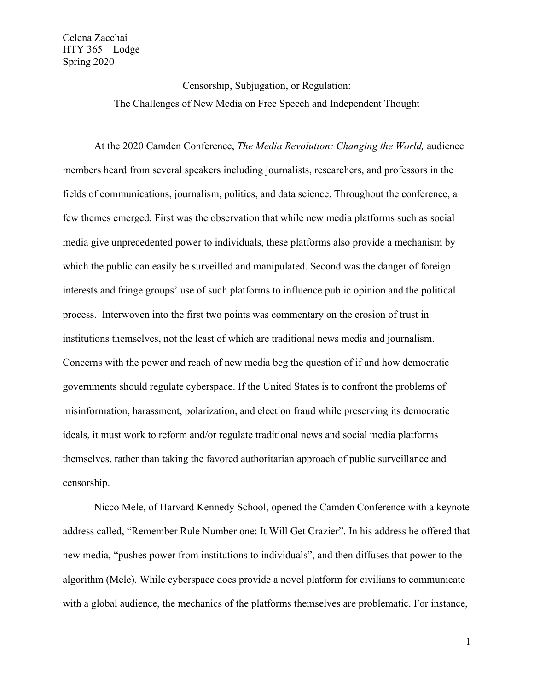Censorship, Subjugation, or Regulation: The Challenges of New Media on Free Speech and Independent Thought

At the 2020 Camden Conference, *The Media Revolution: Changing the World,* audience members heard from several speakers including journalists, researchers, and professors in the fields of communications, journalism, politics, and data science. Throughout the conference, a few themes emerged. First was the observation that while new media platforms such as social media give unprecedented power to individuals, these platforms also provide a mechanism by which the public can easily be surveilled and manipulated. Second was the danger of foreign interests and fringe groups' use of such platforms to influence public opinion and the political process. Interwoven into the first two points was commentary on the erosion of trust in institutions themselves, not the least of which are traditional news media and journalism. Concerns with the power and reach of new media beg the question of if and how democratic governments should regulate cyberspace. If the United States is to confront the problems of misinformation, harassment, polarization, and election fraud while preserving its democratic ideals, it must work to reform and/or regulate traditional news and social media platforms themselves, rather than taking the favored authoritarian approach of public surveillance and censorship.

Nicco Mele, of Harvard Kennedy School, opened the Camden Conference with a keynote address called, "Remember Rule Number one: It Will Get Crazier". In his address he offered that new media, "pushes power from institutions to individuals", and then diffuses that power to the algorithm (Mele). While cyberspace does provide a novel platform for civilians to communicate with a global audience, the mechanics of the platforms themselves are problematic. For instance,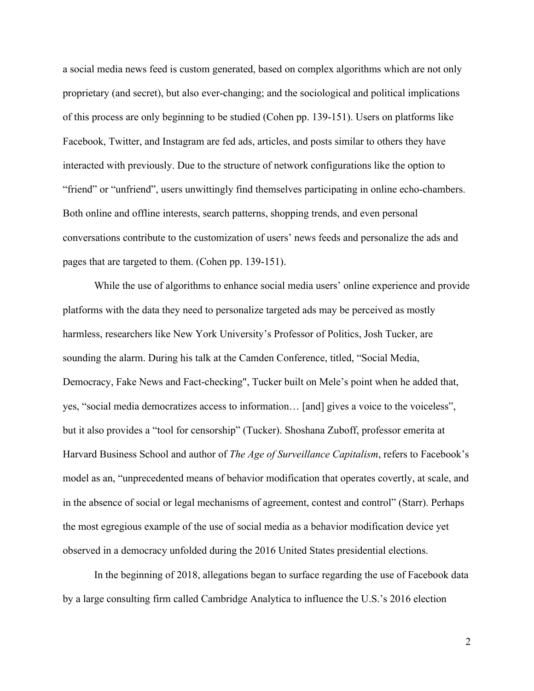a social media news feed is custom generated, based on complex algorithms which are not only proprietary (and secret), but also ever-changing; and the sociological and political implications of this process are only beginning to be studied (Cohen pp. 139-151). Users on platforms like Facebook, Twitter, and Instagram are fed ads, articles, and posts similar to others they have interacted with previously. Due to the structure of network configurations like the option to "friend" or "unfriend", users unwittingly find themselves participating in online echo-chambers. Both online and offline interests, search patterns, shopping trends, and even personal conversations contribute to the customization of users' news feeds and personalize the ads and pages that are targeted to them. (Cohen pp. 139-151).

While the use of algorithms to enhance social media users' online experience and provide platforms with the data they need to personalize targeted ads may be perceived as mostly harmless, researchers like New York University's Professor of Politics, Josh Tucker, are sounding the alarm. During his talk at the Camden Conference, titled, "Social Media, Democracy, Fake News and Fact-checking", Tucker built on Mele's point when he added that, yes, "social media democratizes access to information… [and] gives a voice to the voiceless", but it also provides a "tool for censorship" (Tucker). Shoshana Zuboff, professor emerita at Harvard Business School and author of *The Age of Surveillance Capitalism*, refers to Facebook's model as an, "unprecedented means of behavior modification that operates covertly, at scale, and in the absence of social or legal mechanisms of agreement, contest and control" (Starr). Perhaps the most egregious example of the use of social media as a behavior modification device yet observed in a democracy unfolded during the 2016 United States presidential elections.

In the beginning of 2018, allegations began to surface regarding the use of Facebook data by a large consulting firm called Cambridge Analytica to influence the U.S.'s 2016 election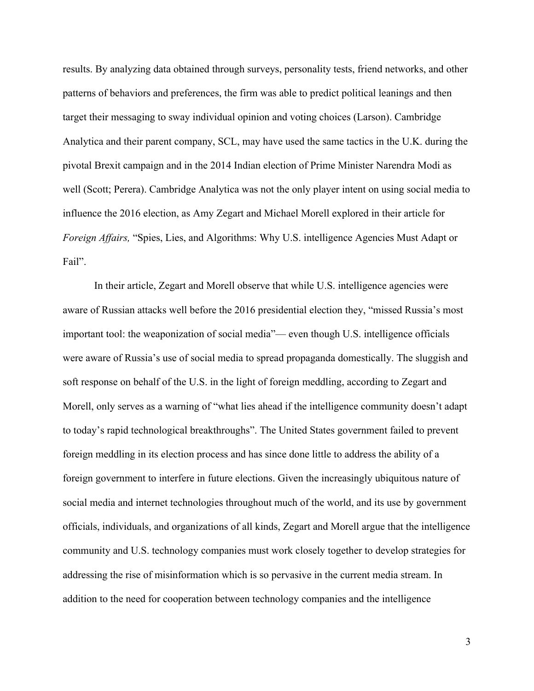results. By analyzing data obtained through surveys, personality tests, friend networks, and other patterns of behaviors and preferences, the firm was able to predict political leanings and then target their messaging to sway individual opinion and voting choices (Larson). Cambridge Analytica and their parent company, SCL, may have used the same tactics in the U.K. during the pivotal Brexit campaign and in the 2014 Indian election of Prime Minister Narendra Modi as well (Scott; Perera). Cambridge Analytica was not the only player intent on using social media to influence the 2016 election, as Amy Zegart and Michael Morell explored in their article for *Foreign Affairs,* "Spies, Lies, and Algorithms: Why U.S. intelligence Agencies Must Adapt or Fail".

In their article, Zegart and Morell observe that while U.S. intelligence agencies were aware of Russian attacks well before the 2016 presidential election they, "missed Russia's most important tool: the weaponization of social media"— even though U.S. intelligence officials were aware of Russia's use of social media to spread propaganda domestically. The sluggish and soft response on behalf of the U.S. in the light of foreign meddling, according to Zegart and Morell, only serves as a warning of "what lies ahead if the intelligence community doesn't adapt to today's rapid technological breakthroughs". The United States government failed to prevent foreign meddling in its election process and has since done little to address the ability of a foreign government to interfere in future elections. Given the increasingly ubiquitous nature of social media and internet technologies throughout much of the world, and its use by government officials, individuals, and organizations of all kinds, Zegart and Morell argue that the intelligence community and U.S. technology companies must work closely together to develop strategies for addressing the rise of misinformation which is so pervasive in the current media stream. In addition to the need for cooperation between technology companies and the intelligence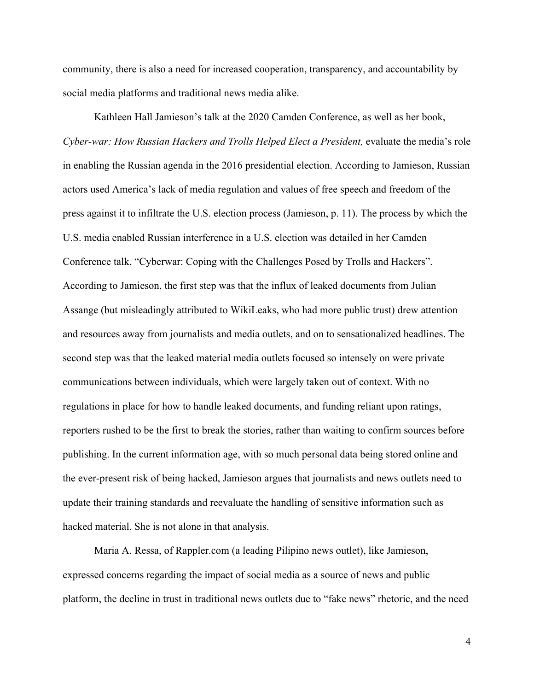community, there is also a need for increased cooperation, transparency, and accountability by social media platforms and traditional news media alike.

Kathleen Hall Jamieson's talk at the 2020 Camden Conference, as well as her book, *Cyber-war: How Russian Hackers and Trolls Helped Elect a President, evaluate the media's role* in enabling the Russian agenda in the 2016 presidential election. According to Jamieson, Russian actors used America's lack of media regulation and values of free speech and freedom of the press against it to infiltrate the U.S. election process (Jamieson, p. 11). The process by which the U.S. media enabled Russian interference in a U.S. election was detailed in her Camden Conference talk, "Cyberwar: Coping with the Challenges Posed by Trolls and Hackers". According to Jamieson, the first step was that the influx of leaked documents from Julian Assange (but misleadingly attributed to WikiLeaks, who had more public trust) drew attention and resources away from journalists and media outlets, and on to sensationalized headlines. The second step was that the leaked material media outlets focused so intensely on were private communications between individuals, which were largely taken out of context. With no regulations in place for how to handle leaked documents, and funding reliant upon ratings, reporters rushed to be the first to break the stories, rather than waiting to confirm sources before publishing. In the current information age, with so much personal data being stored online and the ever-present risk of being hacked, Jamieson argues that journalists and news outlets need to update their training standards and reevaluate the handling of sensitive information such as hacked material. She is not alone in that analysis.

Maria A. Ressa, of Rappler.com (a leading Pilipino news outlet), like Jamieson, expressed concerns regarding the impact of social media as a source of news and public platform, the decline in trust in traditional news outlets due to "fake news" rhetoric, and the need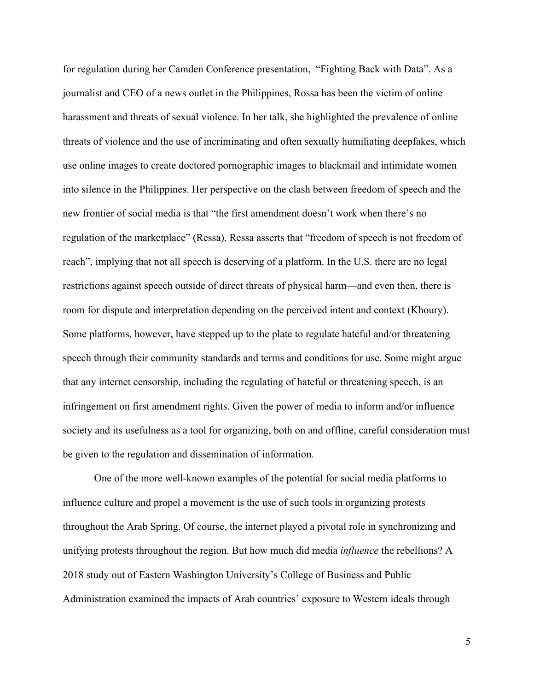for regulation during her Camden Conference presentation, "Fighting Back with Data". As a journalist and CEO of a news outlet in the Philippines, Rossa has been the victim of online harassment and threats of sexual violence. In her talk, she highlighted the prevalence of online threats of violence and the use of incriminating and often sexually humiliating deepfakes, which use online images to create doctored pornographic images to blackmail and intimidate women into silence in the Philippines. Her perspective on the clash between freedom of speech and the new frontier of social media is that "the first amendment doesn't work when there's no regulation of the marketplace" (Ressa). Ressa asserts that "freedom of speech is not freedom of reach", implying that not all speech is deserving of a platform. In the U.S. there are no legal restrictions against speech outside of direct threats of physical harm—and even then, there is room for dispute and interpretation depending on the perceived intent and context (Khoury). Some platforms, however, have stepped up to the plate to regulate hateful and/or threatening speech through their community standards and terms and conditions for use. Some might argue that any internet censorship, including the regulating of hateful or threatening speech, is an infringement on first amendment rights. Given the power of media to inform and/or influence society and its usefulness as a tool for organizing, both on and offline, careful consideration must be given to the regulation and dissemination of information.

One of the more well-known examples of the potential for social media platforms to influence culture and propel a movement is the use of such tools in organizing protests throughout the Arab Spring. Of course, the internet played a pivotal role in synchronizing and unifying protests throughout the region. But how much did media *influence* the rebellions? A 2018 study out of Eastern Washington University's College of Business and Public Administration examined the impacts of Arab countries' exposure to Western ideals through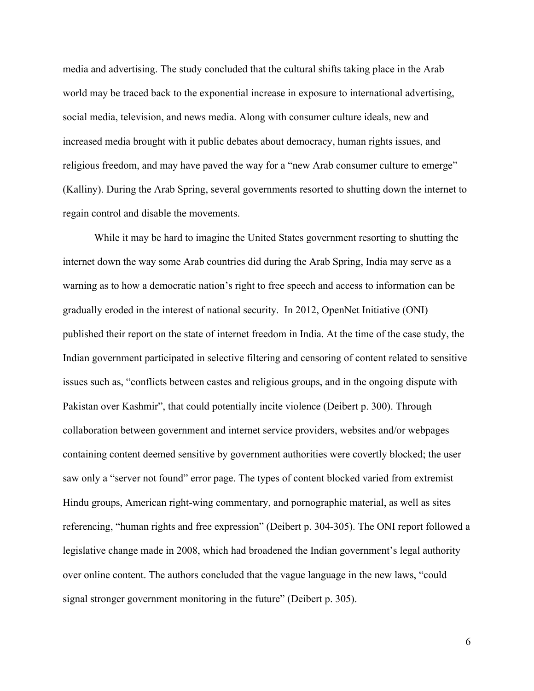media and advertising. The study concluded that the cultural shifts taking place in the Arab world may be traced back to the exponential increase in exposure to international advertising, social media, television, and news media. Along with consumer culture ideals, new and increased media brought with it public debates about democracy, human rights issues, and religious freedom, and may have paved the way for a "new Arab consumer culture to emerge" (Kalliny). During the Arab Spring, several governments resorted to shutting down the internet to regain control and disable the movements.

While it may be hard to imagine the United States government resorting to shutting the internet down the way some Arab countries did during the Arab Spring, India may serve as a warning as to how a democratic nation's right to free speech and access to information can be gradually eroded in the interest of national security. In 2012, OpenNet Initiative (ONI) published their report on the state of internet freedom in India. At the time of the case study, the Indian government participated in selective filtering and censoring of content related to sensitive issues such as, "conflicts between castes and religious groups, and in the ongoing dispute with Pakistan over Kashmir", that could potentially incite violence (Deibert p. 300). Through collaboration between government and internet service providers, websites and/or webpages containing content deemed sensitive by government authorities were covertly blocked; the user saw only a "server not found" error page. The types of content blocked varied from extremist Hindu groups, American right-wing commentary, and pornographic material, as well as sites referencing, "human rights and free expression" (Deibert p. 304-305). The ONI report followed a legislative change made in 2008, which had broadened the Indian government's legal authority over online content. The authors concluded that the vague language in the new laws, "could signal stronger government monitoring in the future" (Deibert p. 305).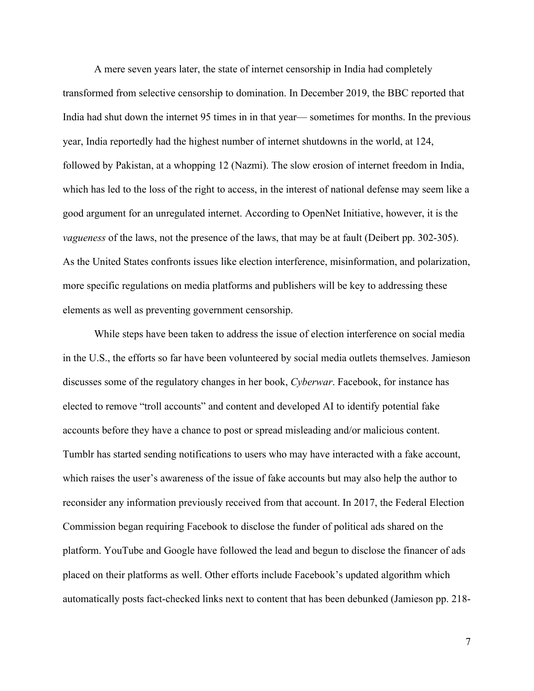A mere seven years later, the state of internet censorship in India had completely transformed from selective censorship to domination. In December 2019, the BBC reported that India had shut down the internet 95 times in in that year— sometimes for months. In the previous year, India reportedly had the highest number of internet shutdowns in the world, at 124, followed by Pakistan, at a whopping 12 (Nazmi). The slow erosion of internet freedom in India, which has led to the loss of the right to access, in the interest of national defense may seem like a good argument for an unregulated internet. According to OpenNet Initiative, however, it is the *vagueness* of the laws, not the presence of the laws, that may be at fault (Deibert pp. 302-305). As the United States confronts issues like election interference, misinformation, and polarization, more specific regulations on media platforms and publishers will be key to addressing these elements as well as preventing government censorship.

While steps have been taken to address the issue of election interference on social media in the U.S., the efforts so far have been volunteered by social media outlets themselves. Jamieson discusses some of the regulatory changes in her book, *Cyberwar*. Facebook, for instance has elected to remove "troll accounts" and content and developed AI to identify potential fake accounts before they have a chance to post or spread misleading and/or malicious content. Tumblr has started sending notifications to users who may have interacted with a fake account, which raises the user's awareness of the issue of fake accounts but may also help the author to reconsider any information previously received from that account. In 2017, the Federal Election Commission began requiring Facebook to disclose the funder of political ads shared on the platform. YouTube and Google have followed the lead and begun to disclose the financer of ads placed on their platforms as well. Other efforts include Facebook's updated algorithm which automatically posts fact-checked links next to content that has been debunked (Jamieson pp. 218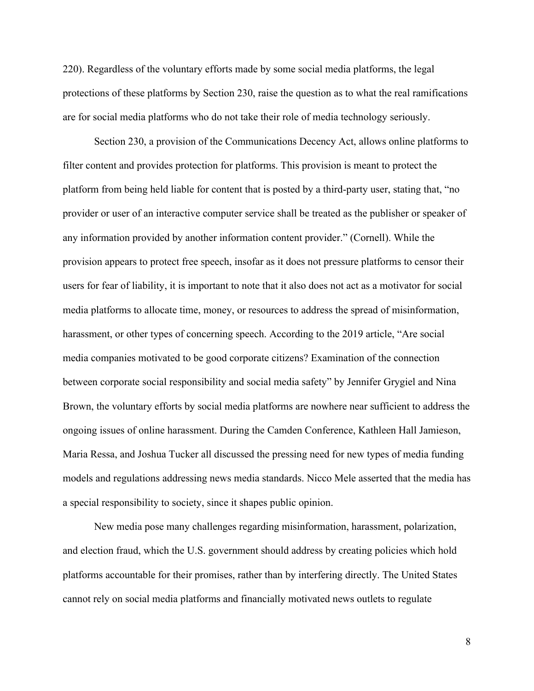220). Regardless of the voluntary efforts made by some social media platforms, the legal protections of these platforms by Section 230, raise the question as to what the real ramifications are for social media platforms who do not take their role of media technology seriously.

Section 230, a provision of the Communications Decency Act, allows online platforms to filter content and provides protection for platforms. This provision is meant to protect the platform from being held liable for content that is posted by a third-party user, stating that, "no provider or user of an interactive computer service shall be treated as the publisher or speaker of any information provided by another information content provider." (Cornell). While the provision appears to protect free speech, insofar as it does not pressure platforms to censor their users for fear of liability, it is important to note that it also does not act as a motivator for social media platforms to allocate time, money, or resources to address the spread of misinformation, harassment, or other types of concerning speech. According to the 2019 article, "Are social media companies motivated to be good corporate citizens? Examination of the connection between corporate social responsibility and social media safety" by Jennifer Grygiel and Nina Brown, the voluntary efforts by social media platforms are nowhere near sufficient to address the ongoing issues of online harassment. During the Camden Conference, Kathleen Hall Jamieson, Maria Ressa, and Joshua Tucker all discussed the pressing need for new types of media funding models and regulations addressing news media standards. Nicco Mele asserted that the media has a special responsibility to society, since it shapes public opinion.

New media pose many challenges regarding misinformation, harassment, polarization, and election fraud, which the U.S. government should address by creating policies which hold platforms accountable for their promises, rather than by interfering directly. The United States cannot rely on social media platforms and financially motivated news outlets to regulate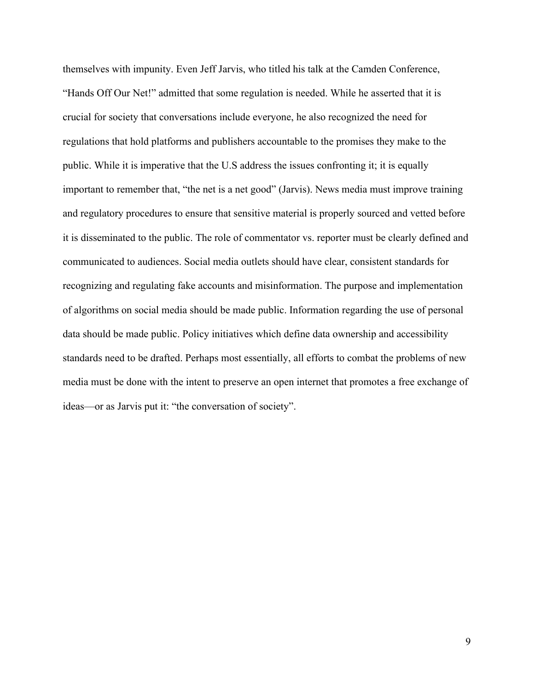themselves with impunity. Even Jeff Jarvis, who titled his talk at the Camden Conference, "Hands Off Our Net!" admitted that some regulation is needed. While he asserted that it is crucial for society that conversations include everyone, he also recognized the need for regulations that hold platforms and publishers accountable to the promises they make to the public. While it is imperative that the U.S address the issues confronting it; it is equally important to remember that, "the net is a net good" (Jarvis). News media must improve training and regulatory procedures to ensure that sensitive material is properly sourced and vetted before it is disseminated to the public. The role of commentator vs. reporter must be clearly defined and communicated to audiences. Social media outlets should have clear, consistent standards for recognizing and regulating fake accounts and misinformation. The purpose and implementation of algorithms on social media should be made public. Information regarding the use of personal data should be made public. Policy initiatives which define data ownership and accessibility standards need to be drafted. Perhaps most essentially, all efforts to combat the problems of new media must be done with the intent to preserve an open internet that promotes a free exchange of ideas—or as Jarvis put it: "the conversation of society".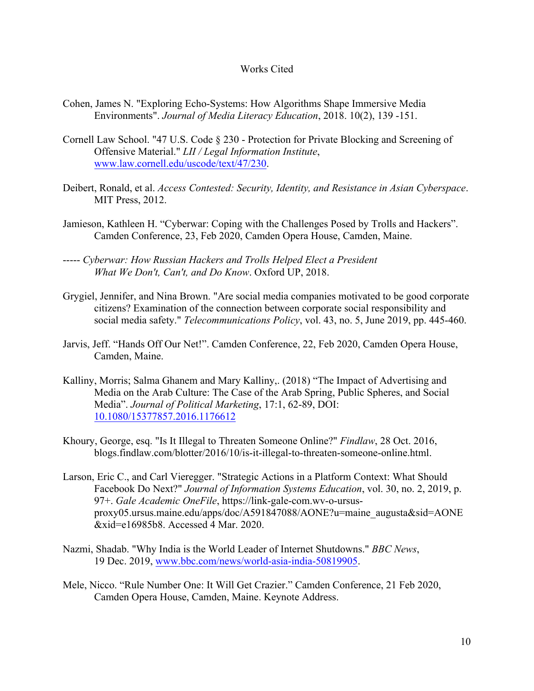## Works Cited

- Cohen, James N. "Exploring Echo-Systems: How Algorithms Shape Immersive Media Environments". *Journal of Media Literacy Education*, 2018. 10(2), 139 -151.
- Cornell Law School. "47 U.S. Code § 230 Protection for Private Blocking and Screening of Offensive Material." *LII / Legal Information Institute*, www.law.cornell.edu/uscode/text/47/230.
- Deibert, Ronald, et al. *Access Contested: Security, Identity, and Resistance in Asian Cyberspace*. MIT Press, 2012.
- Jamieson, Kathleen H. "Cyberwar: Coping with the Challenges Posed by Trolls and Hackers". Camden Conference, 23, Feb 2020, Camden Opera House, Camden, Maine.
- ----- *Cyberwar: How Russian Hackers and Trolls Helped Elect a President What We Don't, Can't, and Do Know*. Oxford UP, 2018.
- Grygiel, Jennifer, and Nina Brown. "Are social media companies motivated to be good corporate citizens? Examination of the connection between corporate social responsibility and social media safety." *Telecommunications Policy*, vol. 43, no. 5, June 2019, pp. 445-460.
- Jarvis, Jeff. "Hands Off Our Net!". Camden Conference, 22, Feb 2020, Camden Opera House, Camden, Maine.
- Kalliny, Morris; Salma Ghanem and Mary Kalliny,. (2018) "The Impact of Advertising and Media on the Arab Culture: The Case of the Arab Spring, Public Spheres, and Social Media". *Journal of Political Marketing*, 17:1, 62-89, DOI: 10.1080/15377857.2016.1176612
- Khoury, George, esq. "Is It Illegal to Threaten Someone Online?" *Findlaw*, 28 Oct. 2016, blogs.findlaw.com/blotter/2016/10/is-it-illegal-to-threaten-someone-online.html.
- Larson, Eric C., and Carl Vieregger. "Strategic Actions in a Platform Context: What Should Facebook Do Next?" *Journal of Information Systems Education*, vol. 30, no. 2, 2019, p. 97+. *Gale Academic OneFile*, https://link-gale-com.wv-o-ursusproxy05.ursus.maine.edu/apps/doc/A591847088/AONE?u=maine\_augusta&sid=AONE &xid=e16985b8. Accessed 4 Mar. 2020.
- Nazmi, Shadab. "Why India is the World Leader of Internet Shutdowns." *BBC News*, 19 Dec. 2019, www.bbc.com/news/world-asia-india-50819905.
- Mele, Nicco. "Rule Number One: It Will Get Crazier." Camden Conference, 21 Feb 2020, Camden Opera House, Camden, Maine. Keynote Address.